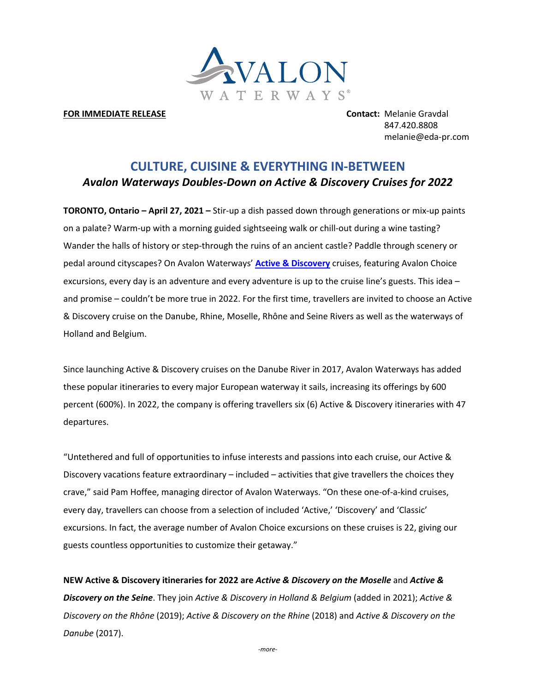

# **FOR IMMEDIATE RELEASE Contact:** Melanie Gravdal

847.420.8808 melanie@eda-pr.com

# **CULTURE, CUISINE & EVERYTHING IN-BETWEEN** *Avalon Waterways Doubles-Down on Active & Discovery Cruises for 2022*

**TORONTO, Ontario – April 27, 2021 –** Stir-up a dish passed down through generations or mix-up paints on a palate? Warm-up with a morning guided sightseeing walk or chill-out during a wine tasting? Wander the halls of history or step-through the ruins of an ancient castle? Paddle through scenery or pedal around cityscapes? On Avalon Waterways' **Active & Discovery** cruises, featuring Avalon Choice excursions, every day is an adventure and every adventure is up to the cruise line's guests. This idea – and promise – couldn't be more true in 2022. For the first time, travellers are invited to choose an Active & Discovery cruise on the Danube, Rhine, Moselle, Rhône and Seine Rivers as well as the waterways of Holland and Belgium.

Since launching Active & Discovery cruises on the Danube River in 2017, Avalon Waterways has added these popular itineraries to every major European waterway it sails, increasing its offerings by 600 percent (600%). In 2022, the company is offering travellers six (6) Active & Discovery itineraries with 47 departures.

"Untethered and full of opportunities to infuse interests and passions into each cruise, our Active & Discovery vacations feature extraordinary – included – activities that give travellers the choices they crave," said Pam Hoffee, managing director of Avalon Waterways. "On these one-of-a-kind cruises, every day, travellers can choose from a selection of included 'Active,' 'Discovery' and 'Classic' excursions. In fact, the average number of Avalon Choice excursions on these cruises is 22, giving our guests countless opportunities to customize their getaway."

**NEW Active & Discovery itineraries for 2022 are** *Active & Discovery on the Moselle* and *Active & Discovery on the Seine*. They join *Active & Discovery in Holland & Belgium* (added in 2021); *Active & Discovery on the Rhône* (2019); *Active & Discovery on the Rhine* (2018) and *Active & Discovery on the Danube* (2017).

*-more-*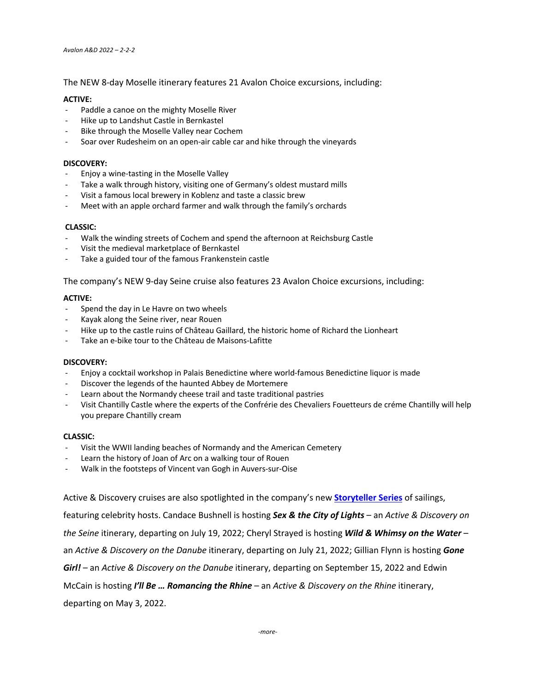The NEW 8-day Moselle itinerary features 21 Avalon Choice excursions, including:

# **ACTIVE:**

- Paddle a canoe on the mighty Moselle River
- Hike up to Landshut Castle in Bernkastel
- Bike through the Moselle Valley near Cochem
- Soar over Rudesheim on an open-air cable car and hike through the vineyards

#### **DISCOVERY:**

- Enjoy a wine-tasting in the Moselle Valley
- Take a walk through history, visiting one of Germany's oldest mustard mills
- Visit a famous local brewery in Koblenz and taste a classic brew
- Meet with an apple orchard farmer and walk through the family's orchards

# **CLASSIC:**

- Walk the winding streets of Cochem and spend the afternoon at Reichsburg Castle
- Visit the medieval marketplace of Bernkastel
- Take a guided tour of the famous Frankenstein castle

The company's NEW 9-day Seine cruise also features 23 Avalon Choice excursions, including:

# **ACTIVE:**

- Spend the day in Le Havre on two wheels
- Kayak along the Seine river, near Rouen
- Hike up to the castle ruins of Château Gaillard, the historic home of Richard the Lionheart
- Take an e-bike tour to the Château de Maisons-Lafitte

#### **DISCOVERY:**

- Enjoy a cocktail workshop in Palais Benedictine where world-famous Benedictine liquor is made
- Discover the legends of the haunted Abbey de Mortemere
- Learn about the Normandy cheese trail and taste traditional pastries
- Visit Chantilly Castle where the experts of the Confrérie des Chevaliers Fouetteurs de créme Chantilly will help you prepare Chantilly cream

#### **CLASSIC:**

- Visit the WWII landing beaches of Normandy and the American Cemetery
- Learn the history of Joan of Arc on a walking tour of Rouen
- Walk in the footsteps of Vincent van Gogh in Auvers-sur-Oise

Active & Discovery cruises are also spotlighted in the company's new **Storyteller Series** of sailings,

featuring celebrity hosts. Candace Bushnell is hosting *Sex & the City of Lights* – an *Active & Discovery on* 

*the Seine* itinerary, departing on July 19, 2022; Cheryl Strayed is hosting *Wild & Whimsy on the Water* –

an *Active & Discovery on the Danube* itinerary, departing on July 21, 2022; Gillian Flynn is hosting *Gone* 

*Girl!* – an *Active & Discovery on the Danube* itinerary, departing on September 15, 2022 and Edwin

McCain is hosting *I'll Be … Romancing the Rhine* – an *Active & Discovery on the Rhine* itinerary,

departing on May 3, 2022.